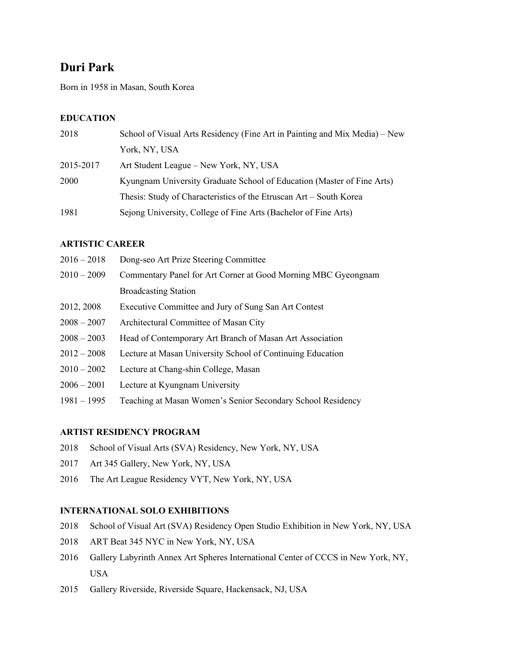# **Duri Park**

Born in 1958 in Masan, South Korea

# **EDUCATION**

| 2018      | School of Visual Arts Residency (Fine Art in Painting and Mix Media) – New |
|-----------|----------------------------------------------------------------------------|
|           | York, NY, USA                                                              |
| 2015-2017 | Art Student League – New York, NY, USA                                     |
| 2000      | Kyungnam University Graduate School of Education (Master of Fine Arts)     |
|           | Thesis: Study of Characteristics of the Etruscan Art - South Korea         |
| 1981      | Sejong University, College of Fine Arts (Bachelor of Fine Arts)            |

# **ARTISTIC CAREER**

| $2016 - 2018$ | Dong-seo Art Prize Steering Committee                         |
|---------------|---------------------------------------------------------------|
| $2010 - 2009$ | Commentary Panel for Art Corner at Good Morning MBC Gyeongnam |
|               | <b>Broadcasting Station</b>                                   |
| 2012, 2008    | Executive Committee and Jury of Sung San Art Contest          |
| $2008 - 2007$ | Architectural Committee of Masan City                         |
| $2008 - 2003$ | Head of Contemporary Art Branch of Masan Art Association      |
| $2012 - 2008$ | Lecture at Masan University School of Continuing Education    |
| $2010 - 2002$ | Lecture at Chang-shin College, Masan                          |
| $2006 - 2001$ | Lecture at Kyungnam University                                |

1981 – 1995 Teaching at Masan Women's Senior Secondary School Residency

# **ARTIST RESIDENCY PROGRAM**

- 2018 School of Visual Arts (SVA) Residency, New York, NY, USA
- 2017 Art 345 Gallery, New York, NY, USA
- 2016 The Art League Residency VYT, New York, NY, USA

# **INTERNATIONAL SOLO EXHIBITIONS**

- 2018 School of Visual Art (SVA) Residency Open Studio Exhibition in New York, NY, USA
- 2018 ART Beat 345 NYC in New York, NY, USA
- 2016 Gallery Labyrinth Annex Art Spheres International Center of CCCS in New York, NY, USA
- 2015 Gallery Riverside, Riverside Square, Hackensack, NJ, USA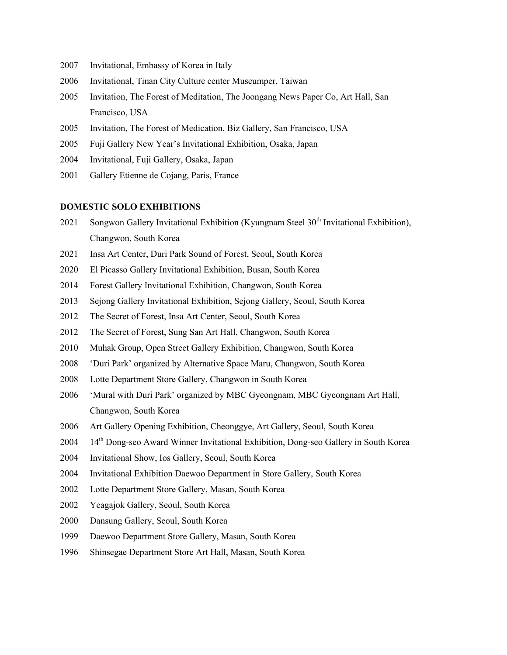- Invitational, Embassy of Korea in Italy
- Invitational, Tinan City Culture center Museumper, Taiwan
- Invitation, The Forest of Meditation, The Joongang News Paper Co, Art Hall, San Francisco, USA
- Invitation, The Forest of Medication, Biz Gallery, San Francisco, USA
- Fuji Gallery New Year's Invitational Exhibition, Osaka, Japan
- Invitational, Fuji Gallery, Osaka, Japan
- Gallery Etienne de Cojang, Paris, France

#### **DOMESTIC SOLO EXHIBITIONS**

- 2021 Songwon Gallery Invitational Exhibition (Kyungnam Steel 30<sup>th</sup> Invitational Exhibition), Changwon, South Korea
- Insa Art Center, Duri Park Sound of Forest, Seoul, South Korea
- El Picasso Gallery Invitational Exhibition, Busan, South Korea
- Forest Gallery Invitational Exhibition, Changwon, South Korea
- Sejong Gallery Invitational Exhibition, Sejong Gallery, Seoul, South Korea
- The Secret of Forest, Insa Art Center, Seoul, South Korea
- The Secret of Forest, Sung San Art Hall, Changwon, South Korea
- Muhak Group, Open Street Gallery Exhibition, Changwon, South Korea
- 'Duri Park' organized by Alternative Space Maru, Changwon, South Korea
- Lotte Department Store Gallery, Changwon in South Korea
- 'Mural with Duri Park' organized by MBC Gyeongnam, MBC Gyeongnam Art Hall, Changwon, South Korea
- Art Gallery Opening Exhibition, Cheonggye, Art Gallery, Seoul, South Korea
- 14th Dong-seo Award Winner Invitational Exhibition, Dong-seo Gallery in South Korea
- Invitational Show, Ios Gallery, Seoul, South Korea
- Invitational Exhibition Daewoo Department in Store Gallery, South Korea
- Lotte Department Store Gallery, Masan, South Korea
- Yeagajok Gallery, Seoul, South Korea
- Dansung Gallery, Seoul, South Korea
- Daewoo Department Store Gallery, Masan, South Korea
- Shinsegae Department Store Art Hall, Masan, South Korea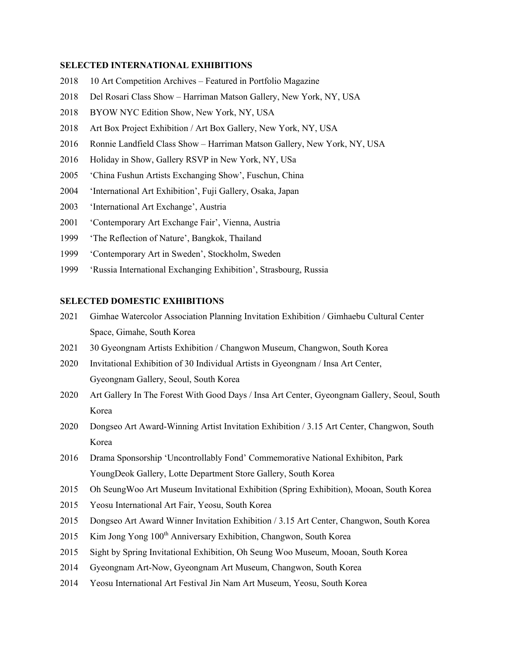#### **SELECTED INTERNATIONAL EXHIBITIONS**

- 10 Art Competition Archives Featured in Portfolio Magazine
- Del Rosari Class Show Harriman Matson Gallery, New York, NY, USA
- 2018 BYOW NYC Edition Show, New York, NY, USA
- Art Box Project Exhibition / Art Box Gallery, New York, NY, USA
- Ronnie Landfield Class Show Harriman Matson Gallery, New York, NY, USA
- 2016 Holiday in Show, Gallery RSVP in New York, NY, USa
- 'China Fushun Artists Exchanging Show', Fuschun, China
- 'International Art Exhibition', Fuji Gallery, Osaka, Japan
- 'International Art Exchange', Austria
- 'Contemporary Art Exchange Fair', Vienna, Austria
- 'The Reflection of Nature', Bangkok, Thailand
- 'Contemporary Art in Sweden', Stockholm, Sweden
- 'Russia International Exchanging Exhibition', Strasbourg, Russia

### **SELECTED DOMESTIC EXHIBITIONS**

- Gimhae Watercolor Association Planning Invitation Exhibition / Gimhaebu Cultural Center Space, Gimahe, South Korea
- 30 Gyeongnam Artists Exhibition / Changwon Museum, Changwon, South Korea
- Invitational Exhibition of 30 Individual Artists in Gyeongnam / Insa Art Center, Gyeongnam Gallery, Seoul, South Korea
- Art Gallery In The Forest With Good Days / Insa Art Center, Gyeongnam Gallery, Seoul, South Korea
- Dongseo Art Award-Winning Artist Invitation Exhibition / 3.15 Art Center, Changwon, South Korea
- Drama Sponsorship 'Uncontrollably Fond' Commemorative National Exhibiton, Park YoungDeok Gallery, Lotte Department Store Gallery, South Korea
- Oh SeungWoo Art Museum Invitational Exhibition (Spring Exhibition), Mooan, South Korea
- Yeosu International Art Fair, Yeosu, South Korea
- Dongseo Art Award Winner Invitation Exhibition / 3.15 Art Center, Changwon, South Korea
- 2015 Kim Jong Yong  $100<sup>th</sup>$  Anniversary Exhibition, Changwon, South Korea
- Sight by Spring Invitational Exhibition, Oh Seung Woo Museum, Mooan, South Korea
- Gyeongnam Art-Now, Gyeongnam Art Museum, Changwon, South Korea
- Yeosu International Art Festival Jin Nam Art Museum, Yeosu, South Korea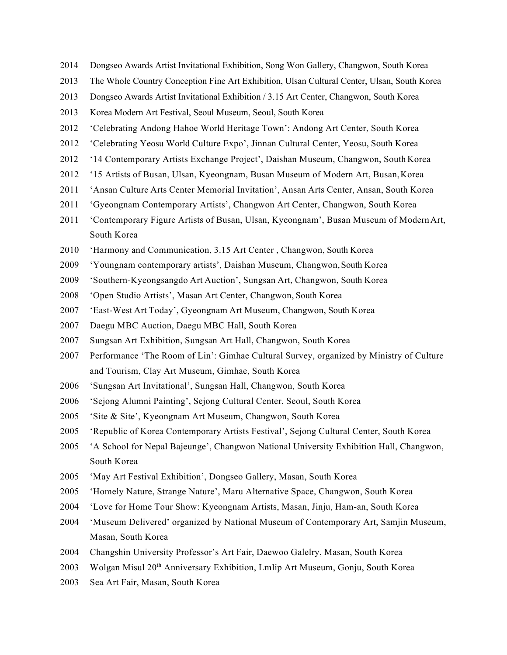- Dongseo Awards Artist Invitational Exhibition, Song Won Gallery, Changwon, South Korea
- The Whole Country Conception Fine Art Exhibition, Ulsan Cultural Center, Ulsan, South Korea
- Dongseo Awards Artist Invitational Exhibition / 3.15 Art Center, Changwon, South Korea
- Korea Modern Art Festival, Seoul Museum, Seoul, South Korea
- 'Celebrating Andong Hahoe World Heritage Town': Andong Art Center, South Korea
- 2012 'Celebrating Yeosu World Culture Expo', Jinnan Cultural Center, Yeosu, South Korea
- '14 Contemporary Artists Exchange Project', Daishan Museum, Changwon, South Korea
- '15 Artists of Busan, Ulsan, Kyeongnam, Busan Museum of Modern Art, Busan,Korea
- 'Ansan Culture Arts Center Memorial Invitation', Ansan Arts Center, Ansan, South Korea
- 'Gyeongnam Contemporary Artists', Changwon Art Center, Changwon, South Korea
- 'Contemporary Figure Artists of Busan, Ulsan, Kyeongnam', Busan Museum of ModernArt, South Korea
- 'Harmony and Communication, 3.15 Art Center , Changwon, South Korea
- 'Youngnam contemporary artists', Daishan Museum, Changwon,South Korea
- 2009 'Southern-Kyeongsangdo Art Auction', Sungsan Art, Changwon, South Korea
- 'Open Studio Artists', Masan Art Center, Changwon, South Korea
- 'East-West Art Today', Gyeongnam Art Museum, Changwon, South Korea
- Daegu MBC Auction, Daegu MBC Hall, South Korea
- Sungsan Art Exhibition, Sungsan Art Hall, Changwon, South Korea
- Performance 'The Room of Lin': Gimhae Cultural Survey, organized by Ministry of Culture and Tourism, Clay Art Museum, Gimhae, South Korea
- 'Sungsan Art Invitational', Sungsan Hall, Changwon, South Korea
- 'Sejong Alumni Painting', Sejong Cultural Center, Seoul, South Korea
- 'Site & Site', Kyeongnam Art Museum, Changwon, South Korea
- 'Republic of Korea Contemporary Artists Festival', Sejong Cultural Center, South Korea
- 'A School for Nepal Bajeunge', Changwon National University Exhibition Hall, Changwon, South Korea
- 'May Art Festival Exhibition', Dongseo Gallery, Masan, South Korea
- 'Homely Nature, Strange Nature', Maru Alternative Space, Changwon, South Korea
- 'Love for Home Tour Show: Kyeongnam Artists, Masan, Jinju, Ham-an, South Korea
- 'Museum Delivered' organized by National Museum of Contemporary Art, Samjin Museum, Masan, South Korea
- Changshin University Professor's Art Fair, Daewoo Galelry, Masan, South Korea
- Wolgan Misul 20th Anniversary Exhibition, Lmlip Art Museum, Gonju, South Korea
- Sea Art Fair, Masan, South Korea